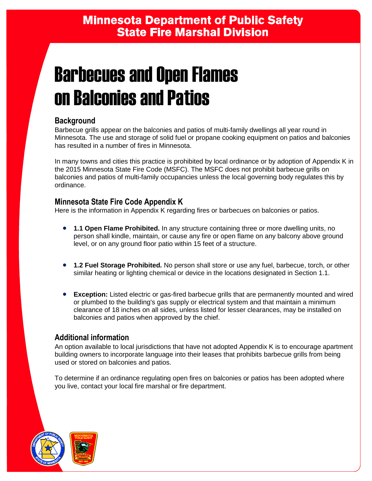# Barbecues and Open Flames on Balconies and Patios

# **Background**

Barbecue grills appear on the balconies and patios of multi-family dwellings all year round in Minnesota. The use and storage of solid fuel or propane cooking equipment on patios and balconies has resulted in a number of fires in Minnesota.

In many towns and cities this practice is prohibited by local ordinance or by adoption of Appendix K in the 2015 Minnesota State Fire Code (MSFC). The MSFC does not prohibit barbecue grills on balconies and patios of multi-family occupancies unless the local governing body regulates this by ordinance.

## **Minnesota State Fire Code Appendix K**

Here is the information in Appendix K regarding fires or barbecues on balconies or patios.

- **1.1 Open Flame Prohibited.** In any structure containing three or more dwelling units, no person shall kindle, maintain, or cause any fire or open flame on any balcony above ground level, or on any ground floor patio within 15 feet of a structure.
- **1.2 Fuel Storage Prohibited.** No person shall store or use any fuel, barbecue, torch, or other similar heating or lighting chemical or device in the locations designated in Section 1.1.
- **Exception:** Listed electric or gas-fired barbecue grills that are permanently mounted and wired or plumbed to the building's gas supply or electrical system and that maintain a minimum clearance of 18 inches on all sides, unless listed for lesser clearances, may be installed on balconies and patios when approved by the chief.

## **Additional information**

An option available to local jurisdictions that have not adopted Appendix K is to encourage apartment building owners to incorporate language into their leases that prohibits barbecue grills from being used or stored on balconies and patios.

To determine if an ordinance regulating open fires on balconies or patios has been adopted where you live, contact your local fire marshal or fire department.